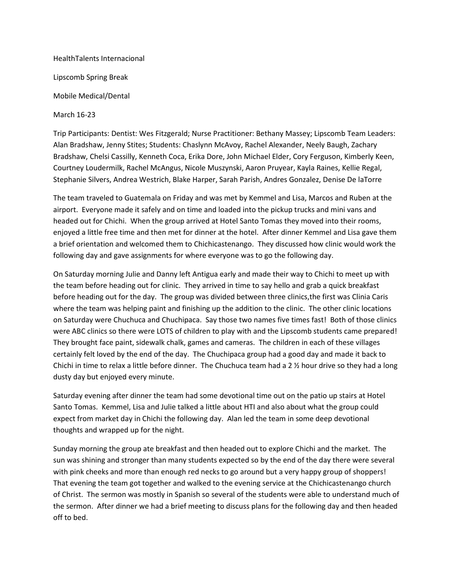HealthTalents Internacional Lipscomb Spring Break Mobile Medical/Dental

March 16-23

Trip Participants: Dentist: Wes Fitzgerald; Nurse Practitioner: Bethany Massey; Lipscomb Team Leaders: Alan Bradshaw, Jenny Stites; Students: Chaslynn McAvoy, Rachel Alexander, Neely Baugh, Zachary Bradshaw, Chelsi Cassilly, Kenneth Coca, Erika Dore, John Michael Elder, Cory Ferguson, Kimberly Keen, Courtney Loudermilk, Rachel McAngus, Nicole Muszynski, Aaron Pruyear, Kayla Raines, Kellie Regal, Stephanie Silvers, Andrea Westrich, Blake Harper, Sarah Parish, Andres Gonzalez, Denise De laTorre

The team traveled to Guatemala on Friday and was met by Kemmel and Lisa, Marcos and Ruben at the airport. Everyone made it safely and on time and loaded into the pickup trucks and mini vans and headed out for Chichi. When the group arrived at Hotel Santo Tomas they moved into their rooms, enjoyed a little free time and then met for dinner at the hotel. After dinner Kemmel and Lisa gave them a brief orientation and welcomed them to Chichicastenango. They discussed how clinic would work the following day and gave assignments for where everyone was to go the following day.

On Saturday morning Julie and Danny left Antigua early and made their way to Chichi to meet up with the team before heading out for clinic. They arrived in time to say hello and grab a quick breakfast before heading out for the day. The group was divided between three clinics,the first was Clinia Caris where the team was helping paint and finishing up the addition to the clinic. The other clinic locations on Saturday were Chuchuca and Chuchipaca. Say those two names five times fast! Both of those clinics were ABC clinics so there were LOTS of children to play with and the Lipscomb students came prepared! They brought face paint, sidewalk chalk, games and cameras. The children in each of these villages certainly felt loved by the end of the day. The Chuchipaca group had a good day and made it back to Chichi in time to relax a little before dinner. The Chuchuca team had a  $2 \frac{1}{2}$  hour drive so they had a long dusty day but enjoyed every minute.

Saturday evening after dinner the team had some devotional time out on the patio up stairs at Hotel Santo Tomas. Kemmel, Lisa and Julie talked a little about HTI and also about what the group could expect from market day in Chichi the following day. Alan led the team in some deep devotional thoughts and wrapped up for the night.

Sunday morning the group ate breakfast and then headed out to explore Chichi and the market. The sun was shining and stronger than many students expected so by the end of the day there were several with pink cheeks and more than enough red necks to go around but a very happy group of shoppers! That evening the team got together and walked to the evening service at the Chichicastenango church of Christ. The sermon was mostly in Spanish so several of the students were able to understand much of the sermon. After dinner we had a brief meeting to discuss plans for the following day and then headed off to bed.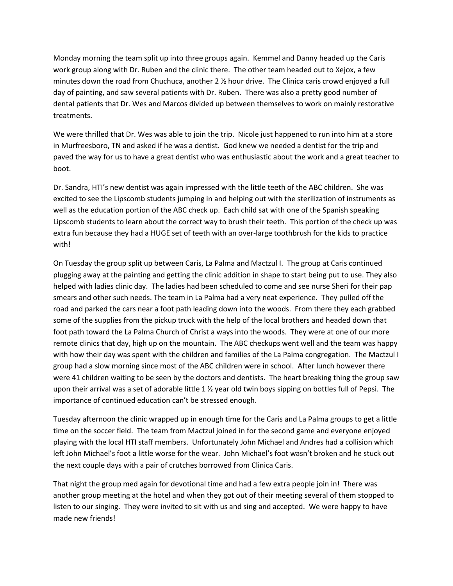Monday morning the team split up into three groups again. Kemmel and Danny headed up the Caris work group along with Dr. Ruben and the clinic there. The other team headed out to Xejox, a few minutes down the road from Chuchuca, another 2 ½ hour drive. The Clinica caris crowd enjoyed a full day of painting, and saw several patients with Dr. Ruben. There was also a pretty good number of dental patients that Dr. Wes and Marcos divided up between themselves to work on mainly restorative treatments.

We were thrilled that Dr. Wes was able to join the trip. Nicole just happened to run into him at a store in Murfreesboro, TN and asked if he was a dentist. God knew we needed a dentist for the trip and paved the way for us to have a great dentist who was enthusiastic about the work and a great teacher to boot.

Dr. Sandra, HTI's new dentist was again impressed with the little teeth of the ABC children. She was excited to see the Lipscomb students jumping in and helping out with the sterilization of instruments as well as the education portion of the ABC check up. Each child sat with one of the Spanish speaking Lipscomb students to learn about the correct way to brush their teeth. This portion of the check up was extra fun because they had a HUGE set of teeth with an over-large toothbrush for the kids to practice with!

On Tuesday the group split up between Caris, La Palma and Mactzul I. The group at Caris continued plugging away at the painting and getting the clinic addition in shape to start being put to use. They also helped with ladies clinic day. The ladies had been scheduled to come and see nurse Sheri for their pap smears and other such needs. The team in La Palma had a very neat experience. They pulled off the road and parked the cars near a foot path leading down into the woods. From there they each grabbed some of the supplies from the pickup truck with the help of the local brothers and headed down that foot path toward the La Palma Church of Christ a ways into the woods. They were at one of our more remote clinics that day, high up on the mountain. The ABC checkups went well and the team was happy with how their day was spent with the children and families of the La Palma congregation. The Mactzul I group had a slow morning since most of the ABC children were in school. After lunch however there were 41 children waiting to be seen by the doctors and dentists. The heart breaking thing the group saw upon their arrival was a set of adorable little 1 ½ year old twin boys sipping on bottles full of Pepsi. The importance of continued education can't be stressed enough.

Tuesday afternoon the clinic wrapped up in enough time for the Caris and La Palma groups to get a little time on the soccer field. The team from Mactzul joined in for the second game and everyone enjoyed playing with the local HTI staff members. Unfortunately John Michael and Andres had a collision which left John Michael's foot a little worse for the wear. John Michael's foot wasn't broken and he stuck out the next couple days with a pair of crutches borrowed from Clinica Caris.

That night the group med again for devotional time and had a few extra people join in! There was another group meeting at the hotel and when they got out of their meeting several of them stopped to listen to our singing. They were invited to sit with us and sing and accepted. We were happy to have made new friends!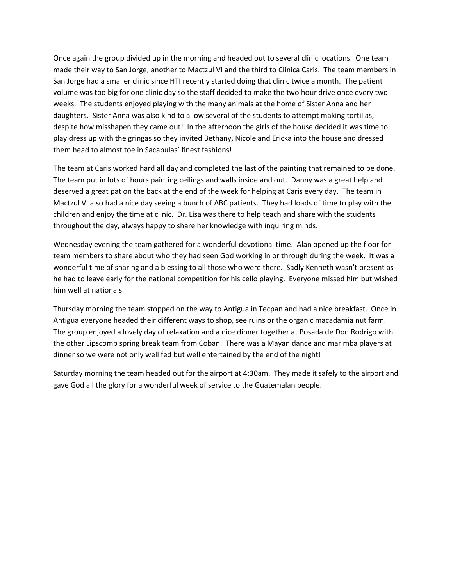Once again the group divided up in the morning and headed out to several clinic locations. One team made their way to San Jorge, another to Mactzul VI and the third to Clinica Caris. The team members in San Jorge had a smaller clinic since HTI recently started doing that clinic twice a month. The patient volume was too big for one clinic day so the staff decided to make the two hour drive once every two weeks. The students enjoyed playing with the many animals at the home of Sister Anna and her daughters. Sister Anna was also kind to allow several of the students to attempt making tortillas, despite how misshapen they came out! In the afternoon the girls of the house decided it was time to play dress up with the gringas so they invited Bethany, Nicole and Ericka into the house and dressed them head to almost toe in Sacapulas' finest fashions!

The team at Caris worked hard all day and completed the last of the painting that remained to be done. The team put in lots of hours painting ceilings and walls inside and out. Danny was a great help and deserved a great pat on the back at the end of the week for helping at Caris every day. The team in Mactzul VI also had a nice day seeing a bunch of ABC patients. They had loads of time to play with the children and enjoy the time at clinic. Dr. Lisa was there to help teach and share with the students throughout the day, always happy to share her knowledge with inquiring minds.

Wednesday evening the team gathered for a wonderful devotional time. Alan opened up the floor for team members to share about who they had seen God working in or through during the week. It was a wonderful time of sharing and a blessing to all those who were there. Sadly Kenneth wasn't present as he had to leave early for the national competition for his cello playing. Everyone missed him but wished him well at nationals.

Thursday morning the team stopped on the way to Antigua in Tecpan and had a nice breakfast. Once in Antigua everyone headed their different ways to shop, see ruins or the organic macadamia nut farm. The group enjoyed a lovely day of relaxation and a nice dinner together at Posada de Don Rodrigo with the other Lipscomb spring break team from Coban. There was a Mayan dance and marimba players at dinner so we were not only well fed but well entertained by the end of the night!

Saturday morning the team headed out for the airport at 4:30am. They made it safely to the airport and gave God all the glory for a wonderful week of service to the Guatemalan people.